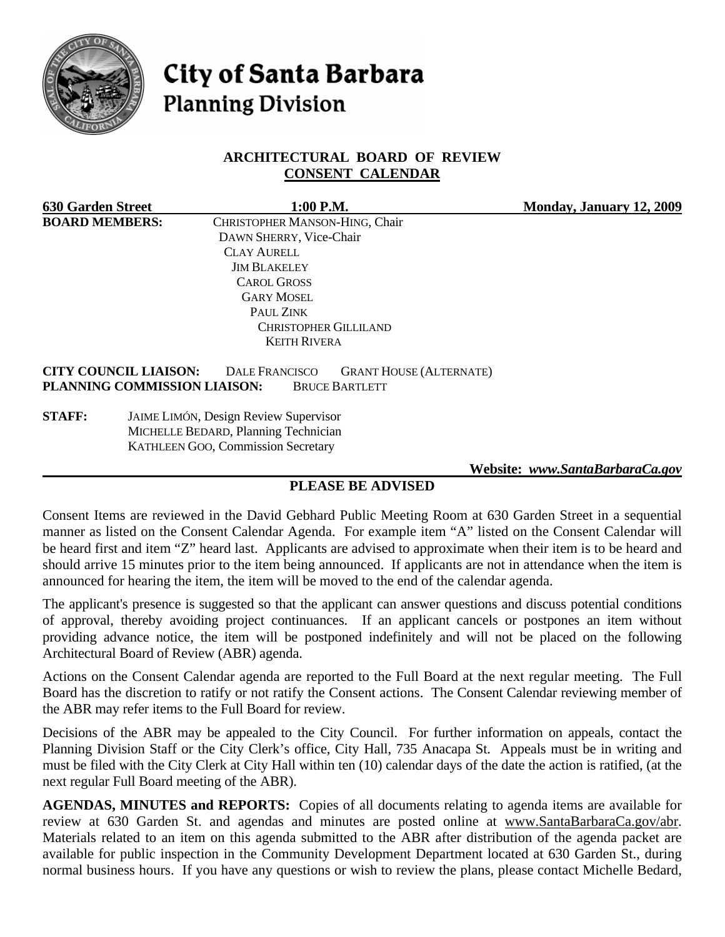

# **City of Santa Barbara Planning Division**

## **ARCHITECTURAL BOARD OF REVIEW CONSENT CALENDAR**

| <b>630 Garden Street</b> | 1:00 P.M.                                                                                                                                        | Monday, January 12, 2009 |
|--------------------------|--------------------------------------------------------------------------------------------------------------------------------------------------|--------------------------|
| <b>BOARD MEMBERS:</b>    | CHRISTOPHER MANSON-HING, Chair                                                                                                                   |                          |
|                          | DAWN SHERRY, Vice-Chair                                                                                                                          |                          |
|                          | <b>CLAY AURELL</b>                                                                                                                               |                          |
|                          | <b>JIM BLAKELEY</b>                                                                                                                              |                          |
|                          | <b>CAROL GROSS</b>                                                                                                                               |                          |
|                          | <b>GARY MOSEL</b>                                                                                                                                |                          |
|                          | PAUL ZINK                                                                                                                                        |                          |
|                          | <b>CHRISTOPHER GILLILAND</b>                                                                                                                     |                          |
|                          | <b>KEITH RIVERA</b>                                                                                                                              |                          |
|                          | <b>CITY COUNCIL LIAISON:</b><br><b>DALE FRANCISCO</b><br><b>GRANT HOUSE (ALTERNATE)</b><br>PLANNING COMMISSION LIAISON:<br><b>BRUCE BARTLETT</b> |                          |
| <b>STAFF:</b>            | <b>JAIME LIMÓN, Design Review Supervisor</b>                                                                                                     |                          |
|                          | MICHELLE BEDARD, Planning Technician                                                                                                             |                          |

KATHLEEN GOO, Commission Secretary

 **Website:** *[www.SantaBarbaraCa.gov](http://www.santabarbaraca.gov/)*

# **PLEASE BE ADVISED**

Consent Items are reviewed in the David Gebhard Public Meeting Room at 630 Garden Street in a sequential manner as listed on the Consent Calendar Agenda. For example item "A" listed on the Consent Calendar will be heard first and item "Z" heard last. Applicants are advised to approximate when their item is to be heard and should arrive 15 minutes prior to the item being announced. If applicants are not in attendance when the item is announced for hearing the item, the item will be moved to the end of the calendar agenda.

The applicant's presence is suggested so that the applicant can answer questions and discuss potential conditions of approval, thereby avoiding project continuances. If an applicant cancels or postpones an item without providing advance notice, the item will be postponed indefinitely and will not be placed on the following Architectural Board of Review (ABR) agenda.

Actions on the Consent Calendar agenda are reported to the Full Board at the next regular meeting. The Full Board has the discretion to ratify or not ratify the Consent actions. The Consent Calendar reviewing member of the ABR may refer items to the Full Board for review.

Decisions of the ABR may be appealed to the City Council. For further information on appeals, contact the Planning Division Staff or the City Clerk's office, City Hall, 735 Anacapa St. Appeals must be in writing and must be filed with the City Clerk at City Hall within ten (10) calendar days of the date the action is ratified, (at the next regular Full Board meeting of the ABR).

**AGENDAS, MINUTES and REPORTS:** Copies of all documents relating to agenda items are available for review at 630 Garden St. and agendas and minutes are posted online at [www.SantaBarbaraCa.gov/abr.](http://www.santabarbaraca.gov/abr) Materials related to an item on this agenda submitted to the ABR after distribution of the agenda packet are available for public inspection in the Community Development Department located at 630 Garden St., during normal business hours. If you have any questions or wish to review the plans, please contact Michelle Bedard,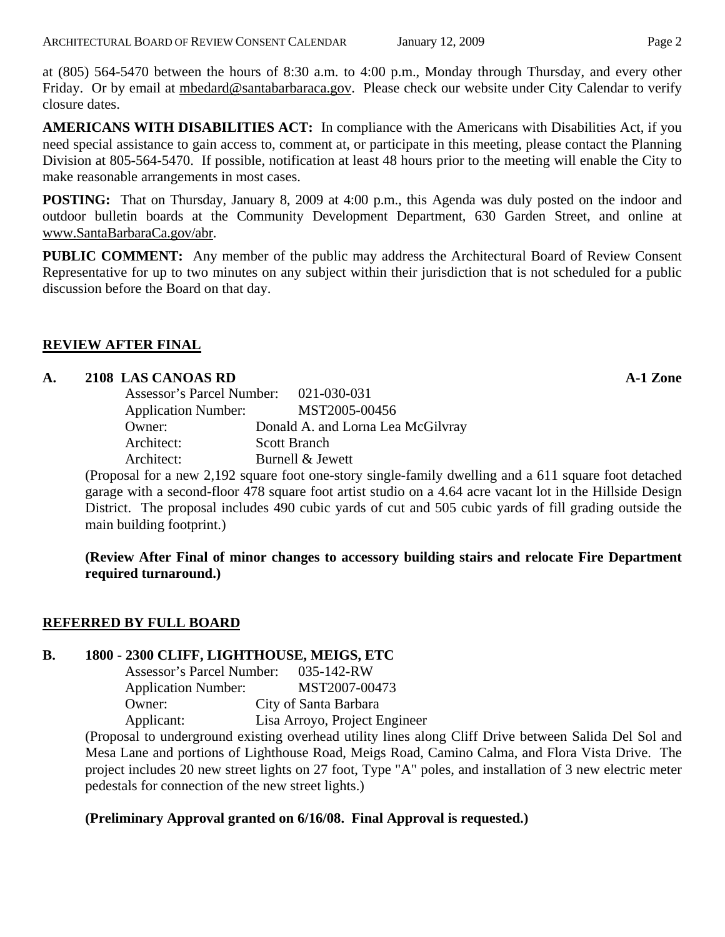at (805) 564-5470 between the hours of 8:30 a.m. to 4:00 p.m., Monday through Thursday, and every other Friday. Or by email at [mbedard@santabarbaraca.gov.](mailto:mbedard@santabarbaraca.gov) Please check our website under City Calendar to verify closure dates.

**AMERICANS WITH DISABILITIES ACT:** In compliance with the Americans with Disabilities Act, if you need special assistance to gain access to, comment at, or participate in this meeting, please contact the Planning Division at 805-564-5470. If possible, notification at least 48 hours prior to the meeting will enable the City to make reasonable arrangements in most cases.

**POSTING:** That on Thursday, January 8, 2009 at 4:00 p.m., this Agenda was duly posted on the indoor and outdoor bulletin boards at the Community Development Department, 630 Garden Street, and online at [www.SantaBarbaraCa.gov/abr](http://www.santabarbaraca.gov/abr).

**PUBLIC COMMENT:** Any member of the public may address the Architectural Board of Review Consent Representative for up to two minutes on any subject within their jurisdiction that is not scheduled for a public discussion before the Board on that day.

# **REVIEW AFTER FINAL**

## **A. 2108 LAS CANOAS RD A-1 Zone**

| Assessor's Parcel Number: 021-030-031 |                                   |
|---------------------------------------|-----------------------------------|
| <b>Application Number:</b>            | MST2005-00456                     |
| Owner:                                | Donald A. and Lorna Lea McGilvray |
| Architect:                            | <b>Scott Branch</b>               |
| Architect:                            | Burnell & Jewett                  |

(Proposal for a new 2,192 square foot one-story single-family dwelling and a 611 square foot detached garage with a second-floor 478 square foot artist studio on a 4.64 acre vacant lot in the Hillside Design District. The proposal includes 490 cubic yards of cut and 505 cubic yards of fill grading outside the main building footprint.)

**(Review After Final of minor changes to accessory building stairs and relocate Fire Department required turnaround.)** 

#### **REFERRED BY FULL BOARD**

#### **B. 1800 - 2300 CLIFF, LIGHTHOUSE, MEIGS, ETC**

| Assessor's Parcel Number:  | $035 - 142 - RW$              |
|----------------------------|-------------------------------|
| <b>Application Number:</b> | MST2007-00473                 |
| Owner:                     | City of Santa Barbara         |
| Applicant:                 | Lisa Arroyo, Project Engineer |

(Proposal to underground existing overhead utility lines along Cliff Drive between Salida Del Sol and Mesa Lane and portions of Lighthouse Road, Meigs Road, Camino Calma, and Flora Vista Drive. The project includes 20 new street lights on 27 foot, Type "A" poles, and installation of 3 new electric meter pedestals for connection of the new street lights.)

# **(Preliminary Approval granted on 6/16/08. Final Approval is requested.)**